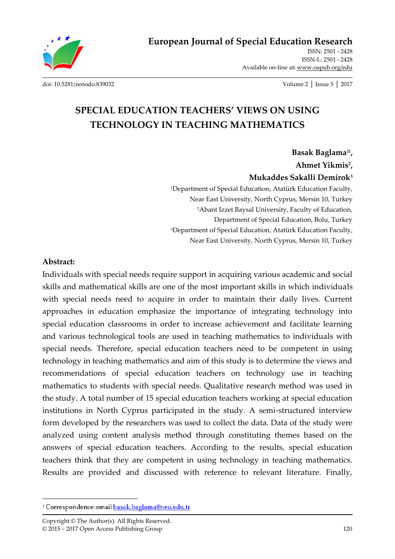

**European Journal of Special Education Research**

ISSN: 2501 - 2428 ISSN-L: 2501 - 2428 Available on-line at**:** www.oapub.org/edu

[doi: 10.5281/zenodo.839032](http://dx.doi.org/10.5281/zenodo.839032) Volume 2 │ Issue 5 │ 2017

# **SPECIAL EDUCATION TEACHERS' VIEWS ON USING TECHNOLOGY IN TEACHING MATHEMATICS**

**Basak Baglama1i , Ahmet Yikmis<sup>2</sup> , Mukaddes Sakalli Demirok<sup>3</sup>**

<sup>1</sup>Department of Special Education, Atatürk Education Faculty, Near East University, North Cyprus, Mersin 10, Turkey <sup>2</sup>Abant Izzet Baysal University, Faculty of Education, Department of Special Education, Bolu, Turkey <sup>3</sup>Department of Special Education, Atatürk Education Faculty, Near East University, North Cyprus, Mersin 10, Turkey

#### **Abstract:**

 $\overline{a}$ 

Individuals with special needs require support in acquiring various academic and social skills and mathematical skills are one of the most important skills in which individuals with special needs need to acquire in order to maintain their daily lives. Current approaches in education emphasize the importance of integrating technology into special education classrooms in order to increase achievement and facilitate learning and various technological tools are used in teaching mathematics to individuals with special needs. Therefore, special education teachers need to be competent in using technology in teaching mathematics and aim of this study is to determine the views and recommendations of special education teachers on technology use in teaching mathematics to students with special needs. Qualitative research method was used in the study. A total number of 15 special education teachers working at special education institutions in North Cyprus participated in the study. A semi-structured interview form developed by the researchers was used to collect the data. Data of the study were analyzed using content analysis method through constituting themes based on the answers of special education teachers. According to the results, special education teachers think that they are competent in using technology in teaching mathematics. Results are provided and discussed with reference to relevant literature. Finally,

<sup>&</sup>lt;sup>1</sup> Correspondence: email basak.baglama@neu.edu.tr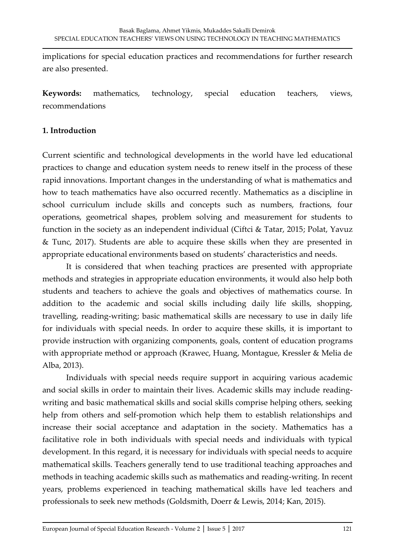implications for special education practices and recommendations for further research are also presented.

**Keywords:** mathematics, technology, special education teachers, views, recommendations

### **1. Introduction**

Current scientific and technological developments in the world have led educational practices to change and education system needs to renew itself in the process of these rapid innovations. Important changes in the understanding of what is mathematics and how to teach mathematics have also occurred recently. Mathematics as a discipline in school curriculum include skills and concepts such as numbers, fractions, four operations, geometrical shapes, problem solving and measurement for students to function in the society as an independent individual (Ciftci & Tatar, 2015; Polat, Yavuz & Tunc, 2017). Students are able to acquire these skills when they are presented in appropriate educational environments based on students' characteristics and needs.

It is considered that when teaching practices are presented with appropriate methods and strategies in appropriate education environments, it would also help both students and teachers to achieve the goals and objectives of mathematics course. In addition to the academic and social skills including daily life skills, shopping, travelling, reading-writing; basic mathematical skills are necessary to use in daily life for individuals with special needs. In order to acquire these skills, it is important to provide instruction with organizing components, goals, content of education programs with appropriate method or approach (Krawec, Huang, Montague, Kressler & Melia de Alba, 2013).

Individuals with special needs require support in acquiring various academic and social skills in order to maintain their lives. Academic skills may include readingwriting and basic mathematical skills and social skills comprise helping others, seeking help from others and self-promotion which help them to establish relationships and increase their social acceptance and adaptation in the society. Mathematics has a facilitative role in both individuals with special needs and individuals with typical development. In this regard, it is necessary for individuals with special needs to acquire mathematical skills. Teachers generally tend to use traditional teaching approaches and methods in teaching academic skills such as mathematics and reading-writing. In recent years, problems experienced in teaching mathematical skills have led teachers and professionals to seek new methods (Goldsmith, Doerr & Lewis, 2014; Kan, 2015).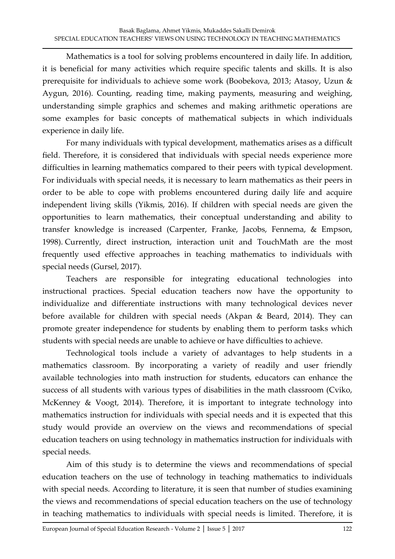Mathematics is a tool for solving problems encountered in daily life. In addition, it is beneficial for many activities which require specific talents and skills. It is also prerequisite for individuals to achieve some work (Boobekova, 2013; Atasoy, Uzun & Aygun, 2016). Counting, reading time, making payments, measuring and weighing, understanding simple graphics and schemes and making arithmetic operations are some examples for basic concepts of mathematical subjects in which individuals experience in daily life.

For many individuals with typical development, mathematics arises as a difficult field. Therefore, it is considered that individuals with special needs experience more difficulties in learning mathematics compared to their peers with typical development. For individuals with special needs, it is necessary to learn mathematics as their peers in order to be able to cope with problems encountered during daily life and acquire independent living skills (Yikmis, 2016). If children with special needs are given the opportunities to learn mathematics, their conceptual understanding and ability to transfer knowledge is increased (Carpenter, Franke, Jacobs, Fennema, & Empson, 1998). Currently, direct instruction, interaction unit and TouchMath are the most frequently used effective approaches in teaching mathematics to individuals with special needs (Gursel, 2017).

Teachers are responsible for integrating educational technologies into instructional practices. Special education teachers now have the opportunity to individualize and differentiate instructions with many technological devices never before available for children with special needs (Akpan & Beard, 2014). They can promote greater independence for students by enabling them to perform tasks which students with special needs are unable to achieve or have difficulties to achieve.

Technological tools include a variety of advantages to help students in a mathematics classroom. By incorporating a variety of readily and user friendly available technologies into math instruction for students, educators can enhance the success of all students with various types of disabilities in the math classroom (Cviko, McKenney & Voogt, 2014). Therefore, it is important to integrate technology into mathematics instruction for individuals with special needs and it is expected that this study would provide an overview on the views and recommendations of special education teachers on using technology in mathematics instruction for individuals with special needs.

Aim of this study is to determine the views and recommendations of special education teachers on the use of technology in teaching mathematics to individuals with special needs. According to literature, it is seen that number of studies examining the views and recommendations of special education teachers on the use of technology in teaching mathematics to individuals with special needs is limited. Therefore, it is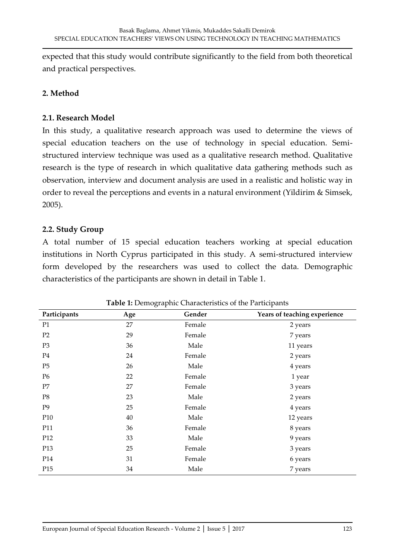expected that this study would contribute significantly to the field from both theoretical and practical perspectives.

### **2. Method**

#### **2.1. Research Model**

In this study, a qualitative research approach was used to determine the views of special education teachers on the use of technology in special education. Semistructured interview technique was used as a qualitative research method. Qualitative research is the type of research in which qualitative data gathering methods such as observation, interview and document analysis are used in a realistic and holistic way in order to reveal the perceptions and events in a natural environment (Yildirim & Simsek, 2005).

### **2.2. Study Group**

A total number of 15 special education teachers working at special education institutions in North Cyprus participated in this study. A semi-structured interview form developed by the researchers was used to collect the data. Demographic characteristics of the participants are shown in detail in Table 1.

| Participants   | Age | Gender | Years of teaching experience |
|----------------|-----|--------|------------------------------|
| P1             | 27  | Female | 2 years                      |
| P2             | 29  | Female | 7 years                      |
| P <sub>3</sub> | 36  | Male   | 11 years                     |
| P4             | 24  | Female | 2 years                      |
| P <sub>5</sub> | 26  | Male   | 4 years                      |
| P <sub>6</sub> | 22  | Female | 1 year                       |
| P7             | 27  | Female | 3 years                      |
| P8             | 23  | Male   | 2 years                      |
| P <sub>9</sub> | 25  | Female | 4 years                      |
| P10            | 40  | Male   | 12 years                     |
| P11            | 36  | Female | 8 years                      |
| P12            | 33  | Male   | 9 years                      |
| P13            | 25  | Female | 3 years                      |
| P14            | 31  | Female | 6 years                      |
| P15            | 34  | Male   | 7 years                      |

**Table 1:** Demographic Characteristics of the Participants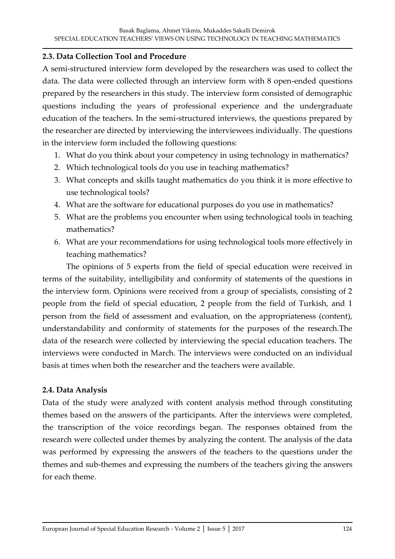### **2.3. Data Collection Tool and Procedure**

A semi-structured interview form developed by the researchers was used to collect the data. The data were collected through an interview form with 8 open-ended questions prepared by the researchers in this study. The interview form consisted of demographic questions including the years of professional experience and the undergraduate education of the teachers. In the semi-structured interviews, the questions prepared by the researcher are directed by interviewing the interviewees individually. The questions in the interview form included the following questions:

- 1. What do you think about your competency in using technology in mathematics?
- 2. Which technological tools do you use in teaching mathematics?
- 3. What concepts and skills taught mathematics do you think it is more effective to use technological tools?
- 4. What are the software for educational purposes do you use in mathematics?
- 5. What are the problems you encounter when using technological tools in teaching mathematics?
- 6. What are your recommendations for using technological tools more effectively in teaching mathematics?

The opinions of 5 experts from the field of special education were received in terms of the suitability, intelligibility and conformity of statements of the questions in the interview form. Opinions were received from a group of specialists, consisting of 2 people from the field of special education, 2 people from the field of Turkish, and 1 person from the field of assessment and evaluation, on the appropriateness (content), understandability and conformity of statements for the purposes of the research.The data of the research were collected by interviewing the special education teachers. The interviews were conducted in March. The interviews were conducted on an individual basis at times when both the researcher and the teachers were available.

### **2.4. Data Analysis**

Data of the study were analyzed with content analysis method through constituting themes based on the answers of the participants. After the interviews were completed, the transcription of the voice recordings began. The responses obtained from the research were collected under themes by analyzing the content. The analysis of the data was performed by expressing the answers of the teachers to the questions under the themes and sub-themes and expressing the numbers of the teachers giving the answers for each theme.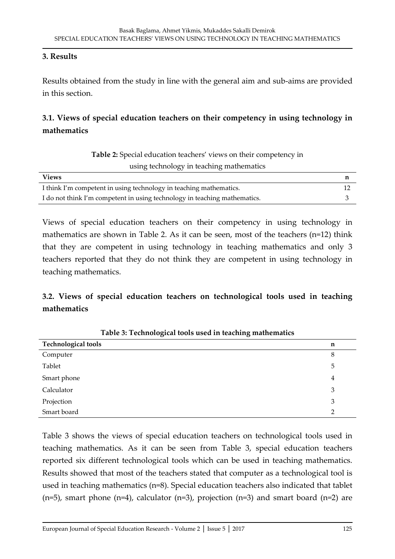#### **3. Results**

Results obtained from the study in line with the general aim and sub-aims are provided in this section.

# **3.1. Views of special education teachers on their competency in using technology in mathematics**

| Table 2: Special education teachers' views on their competency in |  |
|-------------------------------------------------------------------|--|
| using technology in teaching mathematics                          |  |

| <b>Views</b>                                                              |  |
|---------------------------------------------------------------------------|--|
| I think I'm competent in using technology in teaching mathematics.        |  |
| I do not think I'm competent in using technology in teaching mathematics. |  |

Views of special education teachers on their competency in using technology in mathematics are shown in Table 2. As it can be seen, most of the teachers (n=12) think that they are competent in using technology in teaching mathematics and only 3 teachers reported that they do not think they are competent in using technology in teaching mathematics.

# **3.2. Views of special education teachers on technological tools used in teaching mathematics**

| <b>Technological tools</b> | n |
|----------------------------|---|
| Computer                   | 8 |
| Tablet                     | 5 |
| Smart phone                | 4 |
| Calculator                 | 3 |
| Projection                 | 3 |
| Smart board                | າ |

**Table 3: Technological tools used in teaching mathematics**

Table 3 shows the views of special education teachers on technological tools used in teaching mathematics. As it can be seen from Table 3, special education teachers reported six different technological tools which can be used in teaching mathematics. Results showed that most of the teachers stated that computer as a technological tool is used in teaching mathematics (n=8). Special education teachers also indicated that tablet  $(n=5)$ , smart phone  $(n=4)$ , calculator  $(n=3)$ , projection  $(n=3)$  and smart board  $(n=2)$  are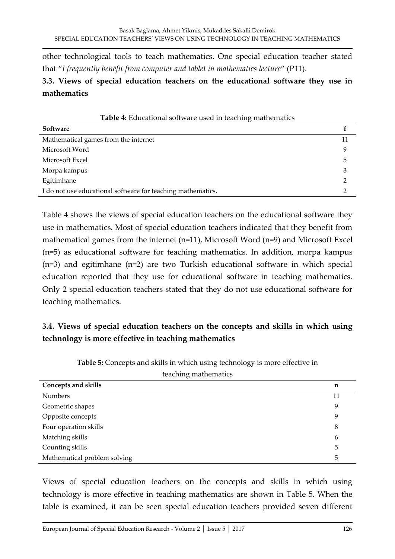other technological tools to teach mathematics. One special education teacher stated that "*I frequently benefit from computer and tablet in mathematics lecture*" (P11).

### **3.3. Views of special education teachers on the educational software they use in mathematics**

| <b>Table 4:</b> Educational software used in teaching mathematics |    |  |
|-------------------------------------------------------------------|----|--|
| Software                                                          |    |  |
| Mathematical games from the internet                              | 11 |  |
| Microsoft Word                                                    | 9  |  |
| Microsoft Excel                                                   | 5  |  |
| Morpa kampus                                                      |    |  |
| Egitimhane                                                        |    |  |
| I do not use educational software for teaching mathematics.       |    |  |

Table 4 shows the views of special education teachers on the educational software they use in mathematics. Most of special education teachers indicated that they benefit from mathematical games from the internet (n=11), Microsoft Word (n=9) and Microsoft Excel (n=5) as educational software for teaching mathematics. In addition, morpa kampus (n=3) and egitimhane (n=2) are two Turkish educational software in which special education reported that they use for educational software in teaching mathematics. Only 2 special education teachers stated that they do not use educational software for teaching mathematics.

# **3.4. Views of special education teachers on the concepts and skills in which using technology is more effective in teaching mathematics**

| Concepts and skills          | n  |
|------------------------------|----|
| <b>Numbers</b>               | 11 |
| Geometric shapes             | 9  |
| Opposite concepts            | 9  |
| Four operation skills        | 8  |
| Matching skills              | 6  |
| Counting skills              | 5  |
| Mathematical problem solving | 5  |

**Table 5:** Concepts and skills in which using technology is more effective in teaching mathematics

Views of special education teachers on the concepts and skills in which using technology is more effective in teaching mathematics are shown in Table 5. When the table is examined, it can be seen special education teachers provided seven different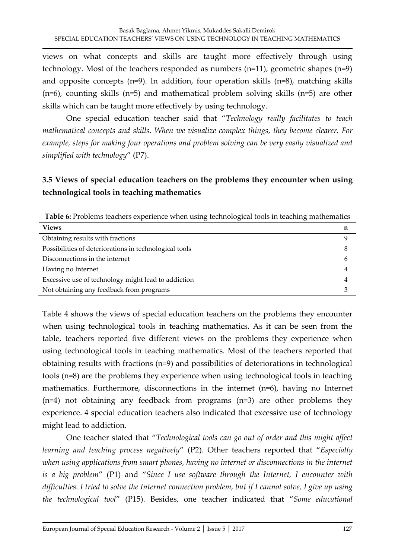views on what concepts and skills are taught more effectively through using technology. Most of the teachers responded as numbers (n=11), geometric shapes (n=9) and opposite concepts (n=9). In addition, four operation skills (n=8), matching skills (n=6), counting skills (n=5) and mathematical problem solving skills (n=5) are other skills which can be taught more effectively by using technology.

One special education teacher said that "*Technology really facilitates to teach mathematical concepts and skills. When we visualize complex things, they become clearer. For example, steps for making four operations and problem solving can be very easily visualized and simplified with technology*" (P7).

# **3.5 Views of special education teachers on the problems they encounter when using technological tools in teaching mathematics**

**Table 6:** Problems teachers experience when using technological tools in teaching mathematics

| <b>Views</b>                                           | n |
|--------------------------------------------------------|---|
| Obtaining results with fractions                       |   |
| Possibilities of deteriorations in technological tools | 8 |
| Disconnections in the internet                         | h |
| Having no Internet                                     | 4 |
| Excessive use of technology might lead to addiction    | 4 |
| Not obtaining any feedback from programs               |   |

Table 4 shows the views of special education teachers on the problems they encounter when using technological tools in teaching mathematics. As it can be seen from the table, teachers reported five different views on the problems they experience when using technological tools in teaching mathematics. Most of the teachers reported that obtaining results with fractions (n=9) and possibilities of deteriorations in technological tools (n=8) are the problems they experience when using technological tools in teaching mathematics. Furthermore, disconnections in the internet (n=6), having no Internet (n=4) not obtaining any feedback from programs (n=3) are other problems they experience. 4 special education teachers also indicated that excessive use of technology might lead to addiction.

One teacher stated that "*Technological tools can go out of order and this might affect learning and teaching process negatively*" (P2). Other teachers reported that "*Especially*  when using applications from smart phones, having no internet or disconnections in the internet *is a big problem*" (P1) and "*Since I use software through the Internet, I encounter with difficulties. I tried to solve the Internet connection problem, but if I cannot solve, I give up using the technological tool*" (P15). Besides, one teacher indicated that "*Some educational*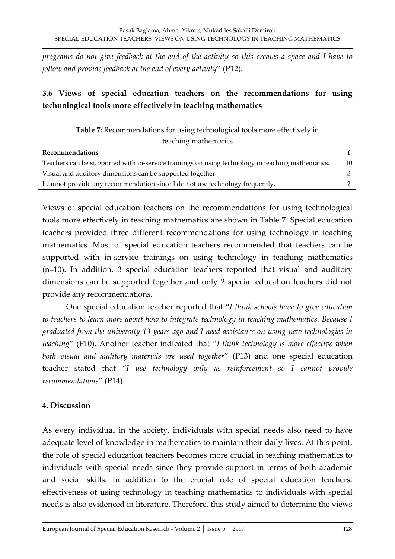*programs do not give feedback at the end of the activity so this creates a space and I have to follow and provide feedback at the end of every activity*" (P12).

# **3.6 Views of special education teachers on the recommendations for using technological tools more effectively in teaching mathematics**

**Table 7:** Recommendations for using technological tools more effectively in teaching mathematics

| Recommendations                                                                                  |  |
|--------------------------------------------------------------------------------------------------|--|
| Teachers can be supported with in-service trainings on using technology in teaching mathematics. |  |
| Visual and auditory dimensions can be supported together.                                        |  |
| I cannot provide any recommendation since I do not use technology frequently.                    |  |
|                                                                                                  |  |

Views of special education teachers on the recommendations for using technological tools more effectively in teaching mathematics are shown in Table 7. Special education teachers provided three different recommendations for using technology in teaching mathematics. Most of special education teachers recommended that teachers can be supported with in-service trainings on using technology in teaching mathematics (n=10). In addition, 3 special education teachers reported that visual and auditory dimensions can be supported together and only 2 special education teachers did not provide any recommendations.

One special education teacher reported that "*I think schools have to give education to teachers to learn more about how to integrate technology in teaching mathematics. Because I graduated from the university 13 years ago and I need assistance on using new technologies in teaching*" (P10). Another teacher indicated that "*I think technology is more effective when both visual and auditory materials are used together*" (P13) and one special education teacher stated that "*I use technology only as reinforcement so I cannot provide recommendations*" (P14).

### **4. Discussion**

As every individual in the society, individuals with special needs also need to have adequate level of knowledge in mathematics to maintain their daily lives. At this point, the role of special education teachers becomes more crucial in teaching mathematics to individuals with special needs since they provide support in terms of both academic and social skills. In addition to the crucial role of special education teachers, effectiveness of using technology in teaching mathematics to individuals with special needs is also evidenced in literature. Therefore, this study aimed to determine the views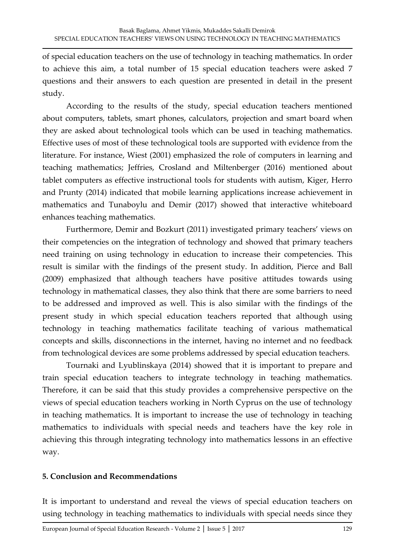of special education teachers on the use of technology in teaching mathematics. In order to achieve this aim, a total number of 15 special education teachers were asked 7 questions and their answers to each question are presented in detail in the present study.

According to the results of the study, special education teachers mentioned about computers, tablets, smart phones, calculators, projection and smart board when they are asked about technological tools which can be used in teaching mathematics. Effective uses of most of these technological tools are supported with evidence from the literature. For instance, Wiest (2001) emphasized the role of computers in learning and teaching mathematics; Jeffries, Crosland and Miltenberger (2016) mentioned about tablet computers as effective instructional tools for students with autism, Kiger, Herro and Prunty (2014) indicated that mobile learning applications increase achievement in mathematics and Tunaboylu and Demir (2017) showed that interactive whiteboard enhances teaching mathematics.

Furthermore, Demir and Bozkurt (2011) investigated primary teachers' views on their competencies on the integration of technology and showed that primary teachers need training on using technology in education to increase their competencies. This result is similar with the findings of the present study. In addition, Pierce and Ball (2009) emphasized that although teachers have positive attitudes towards using technology in mathematical classes, they also think that there are some barriers to need to be addressed and improved as well. This is also similar with the findings of the present study in which special education teachers reported that although using technology in teaching mathematics facilitate teaching of various mathematical concepts and skills, disconnections in the internet, having no internet and no feedback from technological devices are some problems addressed by special education teachers.

Tournaki and Lyublinskaya (2014) showed that it is important to prepare and train special education teachers to integrate technology in teaching mathematics. Therefore, it can be said that this study provides a comprehensive perspective on the views of special education teachers working in North Cyprus on the use of technology in teaching mathematics. It is important to increase the use of technology in teaching mathematics to individuals with special needs and teachers have the key role in achieving this through integrating technology into mathematics lessons in an effective way.

#### **5. Conclusion and Recommendations**

It is important to understand and reveal the views of special education teachers on using technology in teaching mathematics to individuals with special needs since they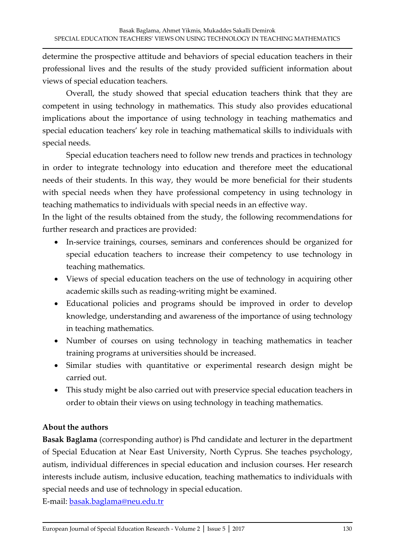determine the prospective attitude and behaviors of special education teachers in their professional lives and the results of the study provided sufficient information about views of special education teachers.

Overall, the study showed that special education teachers think that they are competent in using technology in mathematics. This study also provides educational implications about the importance of using technology in teaching mathematics and special education teachers' key role in teaching mathematical skills to individuals with special needs.

Special education teachers need to follow new trends and practices in technology in order to integrate technology into education and therefore meet the educational needs of their students. In this way, they would be more beneficial for their students with special needs when they have professional competency in using technology in teaching mathematics to individuals with special needs in an effective way.

In the light of the results obtained from the study, the following recommendations for further research and practices are provided:

- In-service trainings, courses, seminars and conferences should be organized for special education teachers to increase their competency to use technology in teaching mathematics.
- Views of special education teachers on the use of technology in acquiring other academic skills such as reading-writing might be examined.
- Educational policies and programs should be improved in order to develop knowledge, understanding and awareness of the importance of using technology in teaching mathematics.
- Number of courses on using technology in teaching mathematics in teacher training programs at universities should be increased.
- Similar studies with quantitative or experimental research design might be carried out.
- This study might be also carried out with preservice special education teachers in order to obtain their views on using technology in teaching mathematics.

### **About the authors**

**Basak Baglama** (corresponding author) is Phd candidate and lecturer in the department of Special Education at Near East University, North Cyprus. She teaches psychology, autism, individual differences in special education and inclusion courses. Her research interests include autism, inclusive education, teaching mathematics to individuals with special needs and use of technology in special education.

E-mail: [basak.baglama@neu.edu.tr](mailto:basak.baglama@neu.edu.tr)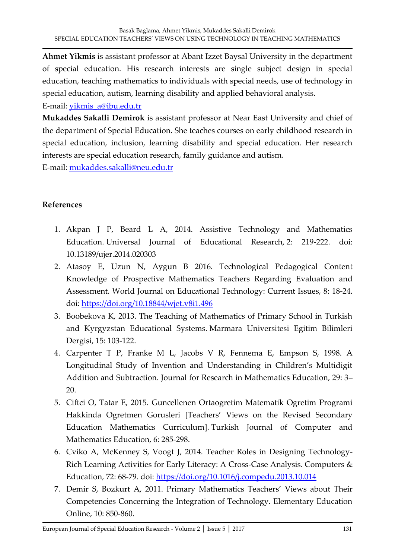**Ahmet Yikmis** is assistant professor at Abant Izzet Baysal University in the department of special education. His research interests are single subject design in special education, teaching mathematics to individuals with special needs, use of technology in special education, autism, learning disability and applied behavioral analysis.

E-mail: [yikmis\\_a@ibu.edu.tr](mailto:yikmis_a@ibu.edu.tr)

**Mukaddes Sakalli Demirok** is assistant professor at Near East University and chief of the department of Special Education. She teaches courses on early childhood research in special education, inclusion, learning disability and special education. Her research interests are special education research, family guidance and autism.

E-mail: [mukaddes.sakalli@neu.edu.tr](mailto:mukaddes.sakalli@neu.edu.tr)

### **References**

- 1. Akpan J P, Beard L A, 2014. Assistive Technology and Mathematics Education. Universal Journal of Educational Research, 2: 219-222. doi: 10.13189/ujer.2014.020303
- 2. Atasoy E, Uzun N, Aygun B 2016. Technological Pedagogical Content Knowledge of Prospective Mathematics Teachers Regarding Evaluation and Assessment. World Journal on Educational Technology: Current Issues, 8: 18-24. doi:<https://doi.org/10.18844/wjet.v8i1.496>
- 3. Boobekova K, 2013. The Teaching of Mathematics of Primary School in Turkish and Kyrgyzstan Educational Systems. Marmara Universitesi Egitim Bilimleri Dergisi, 15: 103-122.
- 4. Carpenter T P, Franke M L, Jacobs V R, Fennema E, Empson S, 1998. A Longitudinal Study of Invention and Understanding in Children's Multidigit Addition and Subtraction. Journal for Research in Mathematics Education, 29: 3– 20.
- 5. Ciftci O, Tatar E, 2015. Guncellenen Ortaogretim Matematik Ogretim Programi Hakkinda Ogretmen Gorusleri [Teachers' Views on the Revised Secondary Education Mathematics Curriculum]. Turkish Journal of Computer and Mathematics Education, 6: 285-298.
- 6. Cviko A, McKenney S, Voogt J, 2014. Teacher Roles in Designing Technology-Rich Learning Activities for Early Literacy: A Cross-Case Analysis. Computers & Education, 72: 68-79. doi:<https://doi.org/10.1016/j.compedu.2013.10.014>
- 7. Demir S, Bozkurt A, 2011. Primary Mathematics Teachers' Views about Their Competencies Concerning the Integration of Technology. Elementary Education Online, 10: 850-860.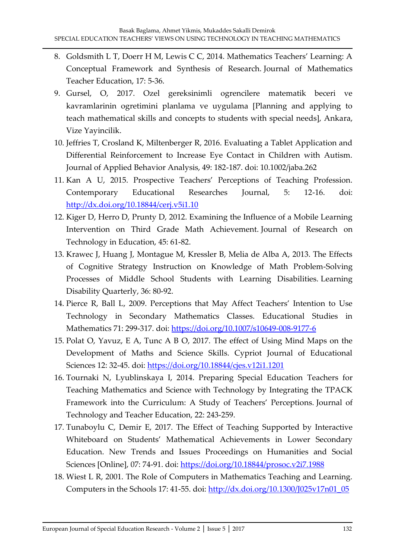- 8. Goldsmith L T, Doerr H M, Lewis C C, 2014. Mathematics Teachers' Learning: A Conceptual Framework and Synthesis of Research. Journal of Mathematics Teacher Education, 17: 5-36.
- 9. Gursel, O, 2017. Ozel gereksinimli ogrencilere matematik beceri ve kavramlarinin ogretimini planlama ve uygulama [Planning and applying to teach mathematical skills and concepts to students with special needs], Ankara, Vize Yayincilik.
- 10. Jeffries T, Crosland K, Miltenberger R, 2016. Evaluating a Tablet Application and Differential Reinforcement to Increase Eye Contact in Children with Autism. Journal of Applied Behavior Analysis, 49: 182-187. doi: 10.1002/jaba.262
- 11. Kan A U, 2015. Prospective Teachers' Perceptions of Teaching Profession. Contemporary Educational Researches Journal, 5: 12-16. doi: <http://dx.doi.org/10.18844/cerj.v5i1.10>
- 12. Kiger D, Herro D, Prunty D, 2012. Examining the Influence of a Mobile Learning Intervention on Third Grade Math Achievement. Journal of Research on Technology in Education, 45: 61-82.
- 13. Krawec J, Huang J, Montague M, Kressler B, Melia de Alba A, 2013. The Effects of Cognitive Strategy Instruction on Knowledge of Math Problem-Solving Processes of Middle School Students with Learning Disabilities. Learning Disability Quarterly, 36: 80-92.
- 14. Pierce R, Ball L, 2009. Perceptions that May Affect Teachers' Intention to Use Technology in Secondary Mathematics Classes. Educational Studies in Mathematics 71: 299-317. doi:<https://doi.org/10.1007/s10649-008-9177-6>
- 15. Polat O, Yavuz, E A, Tunc A B O, 2017. The effect of Using Mind Maps on the Development of Maths and Science Skills. Cypriot Journal of Educational Sciences 12: 32-45. doi:<https://doi.org/10.18844/cjes.v12i1.1201>
- 16. Tournaki N, Lyublinskaya I, 2014. Preparing Special Education Teachers for Teaching Mathematics and Science with Technology by Integrating the TPACK Framework into the Curriculum: A Study of Teachers' Perceptions. Journal of Technology and Teacher Education, 22: 243-259.
- 17. Tunaboylu C, Demir E, 2017. The Effect of Teaching Supported by Interactive Whiteboard on Students' Mathematical Achievements in Lower Secondary Education. New Trends and Issues Proceedings on Humanities and Social Sciences [Online], 07: 74-91. doi:<https://doi.org/10.18844/prosoc.v2i7.1988>
- 18. Wiest L R, 2001. The Role of Computers in Mathematics Teaching and Learning. Computers in the Schools 17: 41-55. doi: [http://dx.doi.org/10.1300/J025v17n01\\_05](http://dx.doi.org/10.1300/J025v17n01_05)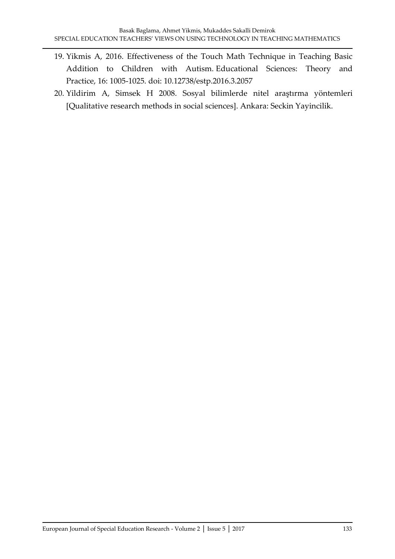- 19. Yikmis A, 2016. Effectiveness of the Touch Math Technique in Teaching Basic Addition to Children with Autism. Educational Sciences: Theory and Practice, 16: 1005-1025. doi: 10.12738/estp.2016.3.2057
- 20. Yildirim A, Simsek H 2008. Sosyal bilimlerde nitel araştırma yöntemleri [Qualitative research methods in social sciences]. Ankara: Seckin Yayincilik.